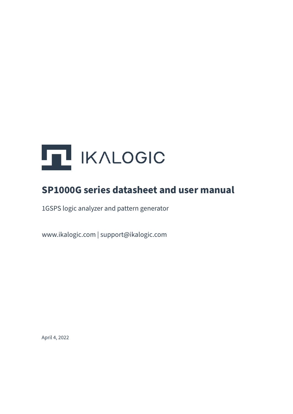

### **SP1000G series datasheet and user manual**

1GSPS logic analyzer and pattern generator

www.ikalogic.com | support@ikalogic.com

April 4, 2022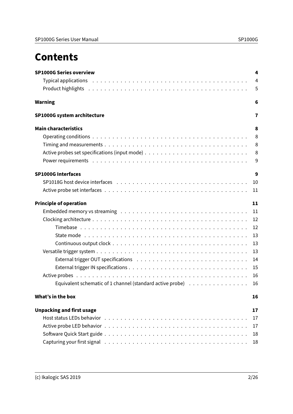### **Contents**

| <b>SP1000G Series overview</b>                                                                                                                                                                                                 | 4              |
|--------------------------------------------------------------------------------------------------------------------------------------------------------------------------------------------------------------------------------|----------------|
|                                                                                                                                                                                                                                | $\overline{4}$ |
| Product highlights in the contract of the contract of the contract of the contract of the contract of the contract of the contract of the contract of the contract of the contract of the contract of the contract of the cont | 5              |
| Warning                                                                                                                                                                                                                        | 6              |
| <b>SP1000G system architecture</b>                                                                                                                                                                                             | 7              |
| <b>Main characteristics</b>                                                                                                                                                                                                    | 8              |
|                                                                                                                                                                                                                                | 8              |
|                                                                                                                                                                                                                                | 8              |
|                                                                                                                                                                                                                                | 8              |
|                                                                                                                                                                                                                                | 9              |
| <b>SP1000G Interfaces</b>                                                                                                                                                                                                      | 9              |
|                                                                                                                                                                                                                                | 10             |
|                                                                                                                                                                                                                                | 11             |
| <b>Principle of operation</b>                                                                                                                                                                                                  | 11             |
|                                                                                                                                                                                                                                | 11             |
|                                                                                                                                                                                                                                | 12             |
|                                                                                                                                                                                                                                | 12             |
|                                                                                                                                                                                                                                | 13             |
|                                                                                                                                                                                                                                | 13             |
|                                                                                                                                                                                                                                | 13             |
|                                                                                                                                                                                                                                | 14             |
|                                                                                                                                                                                                                                | 15             |
|                                                                                                                                                                                                                                | 16             |
| Equivalent schematic of 1 channel (standard active probe) $\ldots \ldots \ldots \ldots \ldots$                                                                                                                                 | 16             |
| What's in the box                                                                                                                                                                                                              | 16             |
| <b>Unpacking and first usage</b>                                                                                                                                                                                               | 17             |
|                                                                                                                                                                                                                                | 17             |
|                                                                                                                                                                                                                                | 17             |
|                                                                                                                                                                                                                                | 18             |
|                                                                                                                                                                                                                                | 18             |
|                                                                                                                                                                                                                                |                |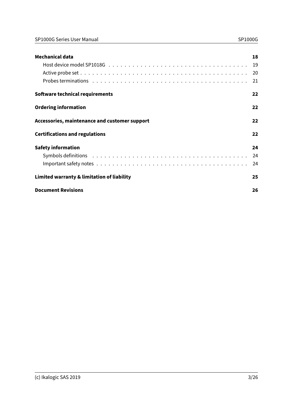| <b>Mechanical data</b>                        | 18 |
|-----------------------------------------------|----|
|                                               | 19 |
|                                               | 20 |
|                                               | 21 |
| Software technical requirements               | 22 |
| <b>Ordering information</b>                   | 22 |
| Accessories, maintenance and customer support | 22 |
| <b>Certifications and regulations</b>         | 22 |
| <b>Safety information</b>                     | 24 |
|                                               | 24 |
|                                               | 24 |
| Limited warranty & limitation of liability    | 25 |
| <b>Document Revisions</b>                     | 26 |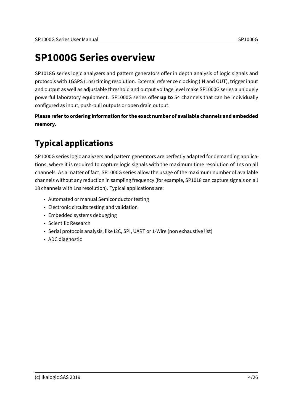### <span id="page-3-0"></span>**SP1000G Series overview**

SP1018G series logic analyzers and pattern generators offer in depth analysis of logic signals and protocols with 1GSPS (1ns) timing resolution. External reference clocking (IN and OUT), trigger input and output as well as adjustable threshold and output voltage level make SP1000G series a uniquely powerful laboratory equipment. SP1000G series offer up to 54 channels that can be individually configured as input, push-pull outputs or open drain output.

**Please refer to [ordering information](#page-21-4) for the exact number of available channels and embedded memory.**

### <span id="page-3-1"></span>**Typical applications**

SP1000G series logic analyzers and pattern generators are perfectly adapted for demanding applications, where it is required to capture logic signals with the maximum time resolution of 1ns on all channels. As a matter of fact, SP1000G series allow the usage of the maximum number of available channels without any reduction in sampling frequency (for example, SP1018 can capture signals on all 18 channels with 1ns resolution). Typical applications are:

- Automated or manual Semiconductor testing
- Electronic circuits testing and validation
- Embedded systems debugging
- Scientific Research
- Serial protocols analysis, like I2C, SPI, UART or 1-Wire (non exhaustive list)
- ADC diagnostic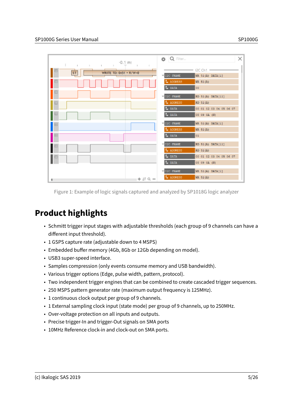| $-0.1$ m:                                                                                                                | <b>Q</b> Filter                                                 | × |
|--------------------------------------------------------------------------------------------------------------------------|-----------------------------------------------------------------|---|
| ш<br>$\sim$<br>$\mathbb{R}$<br><b>The Common</b><br>$\mathbb{R}$<br>$\mathbb{R}$<br>${\sf ST}$<br>WRITE TO: 0x51 + R/W=0 | <b>2C Ch1</b><br>I2C FRAME<br>WR 51(A) DATA[1]                  |   |
|                                                                                                                          | L ADDRESS<br>WR 51(A)<br>L <sub>*</sub> DATA<br>OD.             |   |
| н                                                                                                                        | I2C FRAME<br>RD 51(A) DATA[11]                                  |   |
| $\Box$                                                                                                                   | L ADDRESS<br>$RD$ 51(A)<br>L BATA<br>00 01 02 03 04 05 06 07    |   |
| $\boxminus$                                                                                                              | L DATA<br>08 09 0A (N)<br>IZC FRAME<br>WR 51(A) DATA[1]         |   |
| E                                                                                                                        | L ADDRESS<br>WR 51(A)<br>L DATA<br>01                           |   |
| ⊟                                                                                                                        | <b>TERRAME</b><br>RD 51(A) DATA[11]                             |   |
|                                                                                                                          | L ADDRESS<br>$RD$ 51(A)<br>L DATA<br>00 01 02 03 04 05 06 07    |   |
|                                                                                                                          | L DATA<br>08 09 0A (N)<br><b>FIZC FRAME</b><br>WR 51(A) DATA[1] |   |
| $+ 29 -$                                                                                                                 | L ADDRESS<br>WR 51(A)                                           |   |

Figure 1: Example of logic signals captured and analyzed by SP1018G logic analyzer

### <span id="page-4-0"></span>**Product highlights**

- Schmitt trigger input stages with adjustable thresholds (each group of 9 channels can have a different input threshold).
- 1 GSPS capture rate (adjustable down to 4 MSPS)
- Embedded buffer memory (4Gb, 8Gb or 12Gb depending on model).
- USB3 super-speed interface.
- Samples compression (only events consume memory and USB bandwidth).
- Various trigger options (Edge, pulse width, pattern, protocol).
- Two independent trigger engines that can be combined to create cascaded trigger sequences.
- 250 MSPS pattern generator rate (maximum output frequency is 125MHz).
- 1 [continuous clock output](#page-12-3) per group of 9 channels.
- 1 External sampling clock input (state mode) per group of 9 channels, up to 250MHz.
- Over-voltage protection on all inputs and outputs.
- Precise trigger-In and trigger-Out signals on SMA ports
- 10MHz Reference clock-in and clock-out on SMA ports.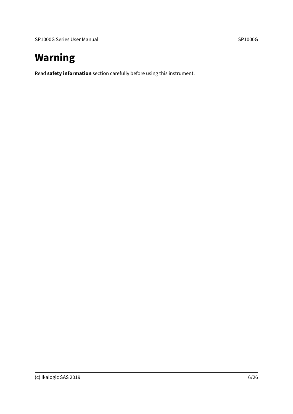# <span id="page-5-0"></span>**Warning**

Read **[safety information](#page-23-0)** section carefully before using this instrument.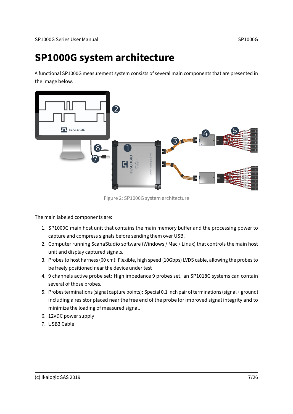### <span id="page-6-0"></span>**SP1000G system architecture**

A functional SP1000G measurement system consists of several main components that are presented in the image below.



Figure 2: SP1000G system architecture

The main labeled components are:

- 1. SP1000G main host unit that contains the main memory buffer and the processing power to capture and compress signals before sending them over USB.
- 2. Computer running ScanaStudio software (Windows / Mac / Linux) that controls the main host unit and display captured signals.
- 3. Probes to host harness (60 cm): Flexible, high speed (10Gbps) LVDS cable, allowing the probes to be freely positioned near the device under test
- 4. 9 channels active probe set: High impedance 9 probes set. an SP1018G systems can contain several of those probes.
- 5. Probes terminations (signal capture points): Special 0.1 inch pair of terminations (signal + ground) including a resistor placed near the free end of the probe for improved signal integrity and to minimize the loading of measured signal.
- 6. 12VDC power supply
- 7. USB3 Cable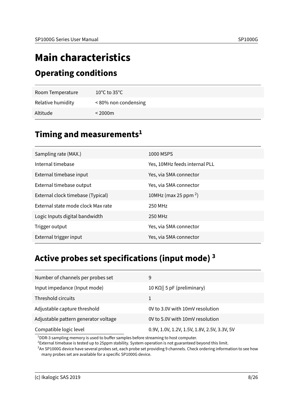# <span id="page-7-0"></span>**Main characteristics**

#### <span id="page-7-1"></span>**Operating conditions**

| Room Temperature  | $10^{\circ}$ C to 35 $^{\circ}$ C |
|-------------------|-----------------------------------|
| Relative humidity | <80% non condensing               |
| Altitude          | $<$ 2000 $\mathrm{m}$             |

### <span id="page-7-2"></span>**Timing and measurements[1](#page-7-4)**

| Sampling rate (MAX.)               | 1000 MSPS                        |
|------------------------------------|----------------------------------|
| Internal timebase                  | Yes, 10MHz feeds internal PLL    |
| External timebase input            | Yes, via SMA connector           |
| External timebase output           | Yes, via SMA connector           |
| External clock timebase (Typical)  | 10MHz (max 25 ppm <sup>2</sup> ) |
| External state mode clock Max rate | 250 MHz                          |
| Logic Inputs digital bandwidth     | 250 MHz                          |
| Trigger output                     | Yes, via SMA connector           |
| External trigger input             | Yes, via SMA connector           |
|                                    |                                  |

### <span id="page-7-3"></span>**Active probes set specifications (input mode) [3](#page-7-6)**

| Number of channels per probes set    | 9                                            |
|--------------------------------------|----------------------------------------------|
| Input impedance (Input mode)         | 10 K $\Omega$    5 pF (preliminary)          |
| Threshold circuits                   |                                              |
| Adjustable capture threshold         | 0V to 3.0V with 10mV resolution              |
| Adjustable pattern generator voltage | 0V to 5.0V with 10mV resolution              |
| Compatible logic level               | 0.9V, 1.0V, 1.2V, 1.5V, 1.8V, 2.5V, 3.3V, 5V |

<span id="page-7-4"></span> $1$ DDR-3 sampling memory is used to buffer samples before streaming to host computer.

<span id="page-7-5"></span> $^2$ External timebase is tested up to 25ppm stability. System operation is not guaranteed beyond this limit.

<span id="page-7-6"></span>3 An SP1000G device have several probes set, each probe set providing 9 channels. Check ordering information to see how many probes set are available for a specific SP1000G device.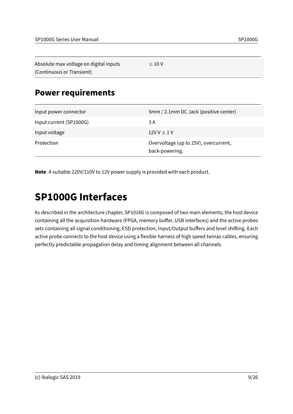| Absolute max voltage on digital inputs | $\pm$ 10 V |
|----------------------------------------|------------|
| (Continuous or Transient)              |            |

#### <span id="page-8-0"></span>**Power requirements**

| Input power connector   | 5mm / 2.1mm DC Jack (positive center)                   |
|-------------------------|---------------------------------------------------------|
| Input current (SP1000G) | 3 A                                                     |
| Input voltage           | $12VV \pm 1V$                                           |
| Protection              | Overvoltage (up to 25V), overcurrent,<br>back-powering. |

<span id="page-8-2"></span>**Note**: A suitable 220V/110V to 12V power supply is provided with each product.

### <span id="page-8-1"></span>**SP1000G Interfaces**

As described in the [architecture](#page-6-0) chapter, SP1018G is composed of two main elements, the host device containing all the acquisition hardware (FPGA, memory buffer, USB interfaces) and the active probes sets containing all signal conditioning, ESD protection, Input/Output buffers and level shifting. Each active probe connects to the host device using a flexible harness of high speed twinax cables, ensuring perfectly predictable propagation delay and timing alignment between all channels.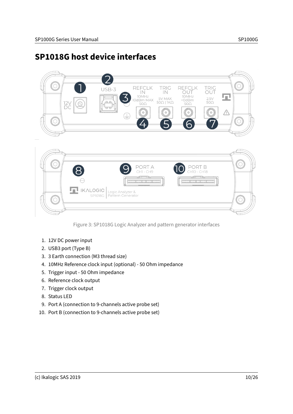#### <span id="page-9-0"></span>**SP1018G host device interfaces**





Figure 3: SP1018G Logic Analyzer and pattern generator interfaces

- 1. 12V DC power input
- 2. USB3 port (Type B)
- 3. 3 Earth connection (M3 thread size)
- 4. 10MHz Reference clock input (optional) 50 Ohm impedance
- 5. Trigger input 50 Ohm impedance
- 6. Reference clock output
- 7. Trigger clock output
- 8. Status LED
- 9. Port A (connection to 9-channels active probe set)
- 10. Port B (connection to 9-channels active probe set)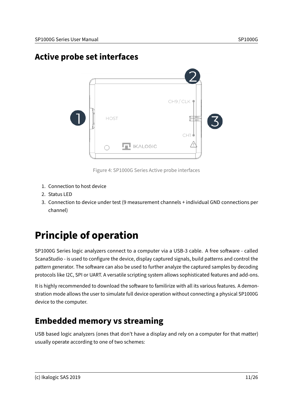### <span id="page-10-0"></span>**Active probe set interfaces**



Figure 4: SP1000G Series Active probe interfaces

- 1. Connection to host device
- 2. Status LED
- 3. Connection to device under test (9 measurement channels + individual GND connections per channel)

## <span id="page-10-1"></span>**Principle of operation**

SP1000G Series logic analyzers connect to a computer via a USB-3 cable. A free software - called ScanaStudio - is used to configure the device, display captured signals, build patterns and control the pattern generator. The software can also be used to further analyze the captured samples by decoding protocols like I2C, SPI or UART. A versatile scripting system allows sophisticated features and add-ons.

It is highly recommended to download the software to familirize with all its various features. A demonstration mode allows the user to simulate full device operation without connecting a physical SP1000G device to the computer.

### <span id="page-10-2"></span>**Embedded memory vs streaming**

USB based logic analyzers (ones that don't have a display and rely on a computer for that matter) usually operate according to one of two schemes: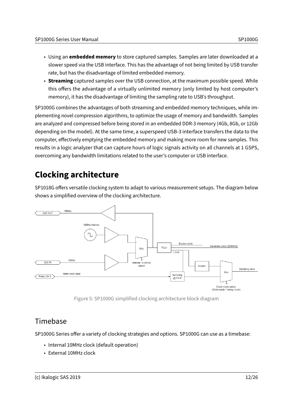- Using an **embedded memory** to store captured samples. Samples are later downloaded at a slower speed via the USB interface. This has the advantage of not being limited by USB transfer rate, but has the disadvantage of limited embedded memory.
- **Streaming** captured samples over the USB connection, at the maximum possible speed. While this offers the advantage of a virtually unlimited memory (only limited by host computer's memory), it has the disadvantage of limiting the sampling rate to USB's throughput.

SP1000G combines the advantages of both streaming and embedded memory techniques, while implementing novel compression algorithms, to optimize the usage of memory and bandwidth. Samples are analyzed and compressed before being stored in an embedded DDR-3 memory (4Gb, 8Gb, or 12Gb depending on the model). At the same time, a superspeed USB-3 interface transfers the data to the computer, effectively emptying the embedded memory and making more room for new samples. This results in a logic analyzer that can capture hours of logic signals activity on all channels at 1 GSPS, overcoming any bandwidth limitations related to the user's computer or USB interface.

### <span id="page-11-0"></span>**Clocking architecture**

SP1018G offers versatile clocking system to adapt to various measurement setups. The diagram below shows a simplified overview of the clocking architecture.





#### <span id="page-11-1"></span>Timebase

SP1000G Series offer a variety of clocking strategies and options. SP1000G can use as a timebase:

- Internal 10MHz clock (default operation)
- External 10MHz clock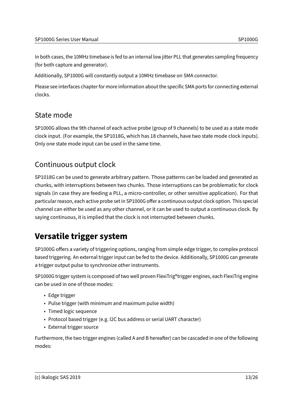In both cases, the 10MHz timebase is fed to an internal low jitter PLL that generates sampling frequency (for both capture and generator).

Additionally, SP1000G will constantly output a 10MHz timebase on SMA connector.

Please see [interfaces](#page-8-2) chapter for more information about the specific SMA ports for connecting external clocks.

#### <span id="page-12-0"></span>State mode

SP1000G allows the 9th channel of each active probe (group of 9 channels) to be used as a state mode clock input. (For example, the SP1018G, which has 18 channels, have two state mode clock inputs). Only one state mode input can be used in the same time.

#### <span id="page-12-3"></span><span id="page-12-1"></span>Continuous output clock

SP1018G can be used to generate arbitrary pattern. Those patterns can be loaded and generated as chunks, with interruptions between two chunks. Those interruptions can be problematic for clock signals (in case they are feeding a PLL, a micro-controller, or other sensitive application). For that particular reason, each active probe set in SP1000G offer a continuous output clock option. This special channel can either be used as any other channel, or it can be used to output a continuous clock. By saying continuous, it is implied that the clock is not interrupted between chunks.

#### <span id="page-12-2"></span>**Versatile trigger system**

SP1000G offers a variety of triggering options, ranging from simple edge trigger, to complex protocol based triggering. An external trigger input can be fed to the device. Additionally, SP1000G can generate a trigger output pulse to synchronize other instruments.

SP1000G trigger system is composed of two well proven FlexiTrig®trigger engines, each FlexiTrig engine can be used in one of those modes:

- Edge trigger
- Pulse trigger (with minimum and maximum pulse width)
- Timed logic sequence
- Protocol based trigger (e.g. I2C bus address or serial UART character)
- External trigger source

Furthermore, the two trigger engines (called A and B hereafter) can be cascaded in one of the following modes: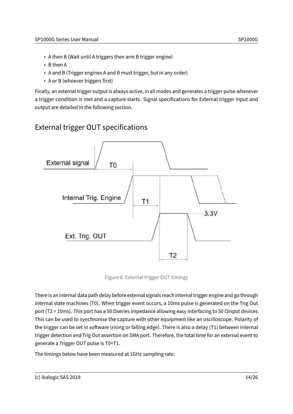- A then B (Wait until A triggers then arm B trigger engine)
- B then A
- A and B (Trigger engines A and B must trigger, but in any order)
- A or B (whoever triggers first)

Finally, an external trigger output is always active, in all modes and generates a trigger pulse whenever a trigger condition is met and a capture starts. Signal specifications for External trigger input and output are detailed in the following section.

#### <span id="page-13-0"></span>External trigger OUT specifications



Figure 6: External trigger OUT timings

There is an internal data path delay before external signals reach internal trigger engine and go through internal state machines (T0). When trigger event occurs, a 10ms pulse is generated on the Trig Out port (T2 = 10ms). This port has a 50 Ωseries impedance allowing easy interfacing to 50 Ωinput devices. This can be used to synchronise the capture with other equipment like an oscilloscope. Polarity of the trigger can be set in software (rising or falling edge). There is also a delay (T1) between internal trigger detection and Trig Out assertion on SMA port. Therefore, the total time for an external event to generate a Trigger OUT pulse is T0+T1.

The timings below have been measured at 1GHz sampling rate: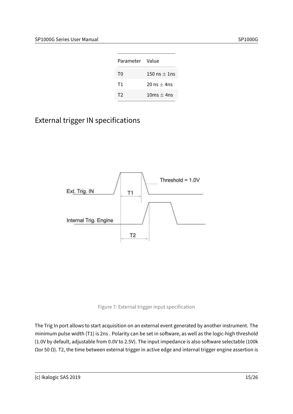| Parameter Value |                 |
|-----------------|-----------------|
| T0              | 150 ns $+$ 1 ns |
| T1              | 20 ns $+$ 4ns   |
| T2              | $10ms + 4ns$    |

#### <span id="page-14-0"></span>External trigger IN specifications





The Trig In port allows to start acquisition on an external event generated by another instrument. The minimum pulse width (T1) is 2ns. Polarity can be set in software, as well as the logic-high threshold (1.0V by default, adjustable from 0.0V to 2.5V). The input impedance is also software selectable (100k Ωor 50 Ω). T2, the time between external trigger in active edge and internal trigger engine assertion is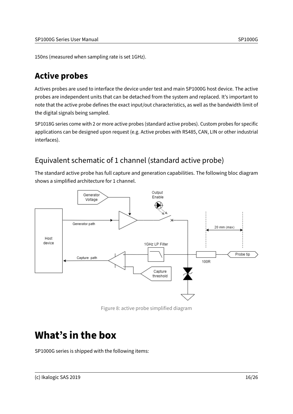150ns (measured when sampling rate is set 1GHz).

#### <span id="page-15-0"></span>**Active probes**

Actives probes are used to interface the device under test and main SP1000G host device. The active probes are independent units that can be detached from the system and replaced. It's important to note that the active probe defines the exact input/out characteristics, as well as the bandwidth limit of the digital signals being sampled.

SP1018G series come with 2 or more active probes (standard active probes). Custom probes for specific applications can be designed upon request (e.g. Active probes with RS485, CAN, LIN or other industrial interfaces).

#### <span id="page-15-1"></span>Equivalent schematic of 1 channel (standard active probe)

The standard active probe has full capture and generation capabilities. The following bloc diagram shows a simplified architecture for 1 channel.



Figure 8: active probe simplified diagram

### <span id="page-15-2"></span>**What's in the box**

SP1000G series is shipped with the following items: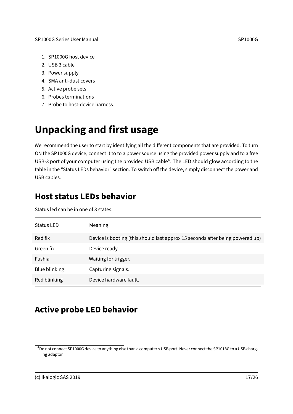- 1. SP1000G host device
- 2. USB 3 cable
- 3. Power supply
- 4. SMA anti-dust covers
- 5. Active probe sets
- 6. Probes terminations
- 7. Probe to host-device harness.

## <span id="page-16-0"></span>**Unpacking and first usage**

We recommend the user to start by identifying all the different components that are provided. To turn ON the SP1000G device, connect it to to a power source using the provided power supply and to a free USB-3 port of your computer using the provided USB cable<sup>[4](#page-16-3)</sup>. The LED should glow according to the table in the "Status LEDs behavior" section. To switch off the device, simply disconnect the power and USB cables.

### <span id="page-16-1"></span>**Host status LEDs behavior**

Status led can be in one of 3 states:

| Status LED           | Meaning                                                                       |
|----------------------|-------------------------------------------------------------------------------|
| Red fix              | Device is booting (this should last approx 15 seconds after being powered up) |
| Green fix            | Device ready.                                                                 |
| Fushia               | Waiting for trigger.                                                          |
| <b>Blue blinking</b> | Capturing signals.                                                            |
| Red blinking         | Device hardware fault.                                                        |

#### <span id="page-16-2"></span>**Active probe LED behavior**

<span id="page-16-3"></span><sup>4</sup>Do not connect SP1000G device to anything else than a computer's USB port. Never connect the SP1018G to a USB charging adaptor.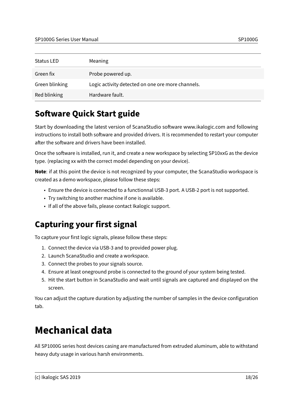| <b>Status LED</b> | Meaning                                           |
|-------------------|---------------------------------------------------|
| Green fix         | Probe powered up.                                 |
| Green blinking    | Logic activity detected on one ore more channels. |
| Red blinking      | Hardware fault.                                   |

### <span id="page-17-0"></span>**Software Quick Start guide**

Start by downloading the latest version of ScanaStudio software www.ikalogic.com and following instructions to install both software and provided drivers. It is recommended to restart your computer after the software and drivers have been installed.

Once the software is installed, run it, and create a new workspace by selecting SP10xxG as the device type. (replacing xx with the correct model depending on your device).

**Note**: if at this point the device is not recognized by your computer, the ScanaStudio workspace is created as a demo workspace, please follow these steps:

- Ensure the device is connected to a functionnal USB-3 port. A USB-2 port is not supported.
- Try switching to another machine if one is available.
- If all of the above fails, please contact Ikalogic support.

### <span id="page-17-1"></span>**Capturing your first signal**

To capture your first logic signals, please follow these steps:

- 1. Connect the device via USB-3 and to provided power plug.
- 2. Launch ScanaStudio and create a workspace.
- 3. Connect the probes to your signals source.
- 4. Ensure at least oneground probe is connected to the ground of your system being tested.
- 5. Hit the start button in ScanaStudio and wait until signals are captured and displayed on the screen.

You can adjust the capture duration by adjusting the number of samples in the device configuration tab.

### <span id="page-17-2"></span>**Mechanical data**

All SP1000G series host devices casing are manufactured from extruded aluminum, able to withstand heavy duty usage in various harsh environments.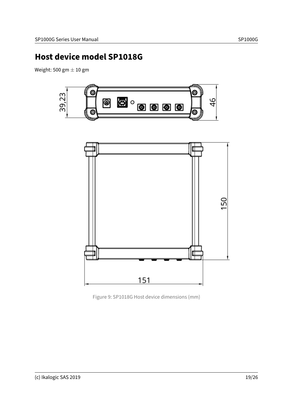#### <span id="page-18-0"></span>**Host device model SP1018G**

Weight: 500 gm  $\pm$  10 gm





Figure 9: SP1018G Host device dimensions (mm)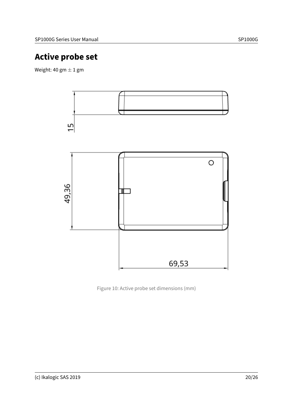### <span id="page-19-0"></span>**Active probe set**

Weight: 40 gm  $\pm$  1 gm



Figure 10: Active probe set dimensions (mm)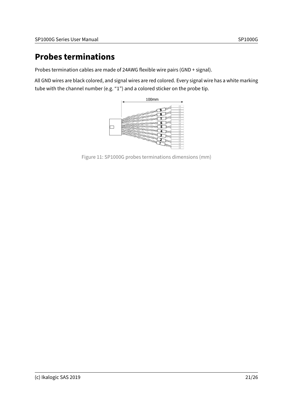### <span id="page-20-0"></span>**Probes terminations**

Probes termination cables are made of 24AWG flexible wire pairs (GND + signal).

All GND wires are black colored, and signal wires are red colored. Every signal wire has a white marking tube with the channel number (e.g. "1") and a colored sticker on the probe tip.



Figure 11: SP1000G probes terminations dimensions (mm)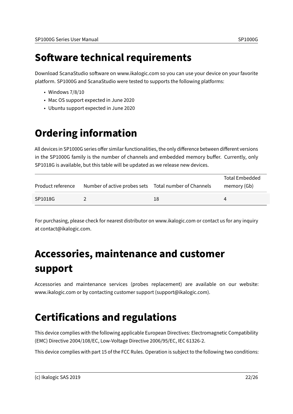### <span id="page-21-0"></span>**Software technical requirements**

Download ScanaStudio software on www.ikalogic.com so you can use your device on your favorite platform. SP1000G and ScanaStudio were tested to supports the following platforms:

- Windows 7/8/10
- Mac OS support expected in June 2020
- <span id="page-21-4"></span>• Ubuntu support expected in June 2020

### <span id="page-21-1"></span>**Ordering information**

All devices in SP1000G series offer similar functionalities, the only difference between different versions in the SP1000G family is the number of channels and embedded memory buffer. Currently, only SP1018G is available, but this table will be updated as we release new devices.

|                   |                                                        |    | <b>Total Embedded</b> |
|-------------------|--------------------------------------------------------|----|-----------------------|
| Product reference | Number of active probes sets  Total number of Channels |    | memory (Gb)           |
| SP1018G           |                                                        | 18 |                       |

For purchasing, please check for nearest distributor on www.ikalogic.com or contact us for any inquiry at contact@ikalogic.com.

# <span id="page-21-2"></span>**Accessories, maintenance and customer support**

Accessories and maintenance services (probes replacement) are available on our website: www.ikalogic.com or by contacting customer support (support@ikalogic.com).

## <span id="page-21-3"></span>**Certifications and regulations**

This device complies with the following applicable European Directives: Electromagnetic Compatibility (EMC) Directive 2004/108/EC, Low-Voltage Directive 2006/95/EC, IEC 61326-2.

This device complies with part 15 of the FCC Rules. Operation is subject to the following two conditions: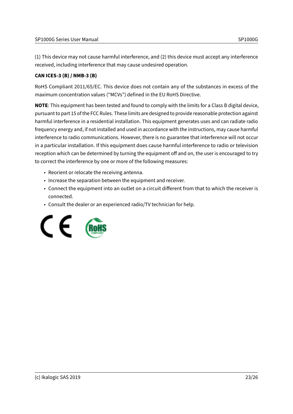(1) This device may not cause harmful interference, and (2) this device must accept any interference received, including interference that may cause undesired operation.

#### **CAN ICES-3 (B) / NMB-3 (B)**

RoHS Compliant 2011/65/EC. This device does not contain any of the substances in excess of the maximum concentration values ("MCVs") defined in the EU RoHS Directive.

**NOTE**: This equipment has been tested and found to comply with the limits for a Class B digital device, pursuant to part 15 of the FCC Rules. These limits are designed to provide reasonable protection against harmful interference in a residential installation. This equipment generates uses and can radiate radio frequency energy and, if not installed and used in accordance with the instructions, may cause harmful interference to radio communications. However, there is no guarantee that interference will not occur in a particular installation. If this equipment does cause harmful interference to radio or television reception which can be determined by turning the equipment off and on, the user is encouraged to try to correct the interference by one or more of the following measures:

- Reorient or relocate the receiving antenna.
- Increase the separation between the equipment and receiver.
- Connect the equipment into an outlet on a circuit different from that to which the receiver is connected.
- Consult the dealer or an experienced radio/TV technician for help.

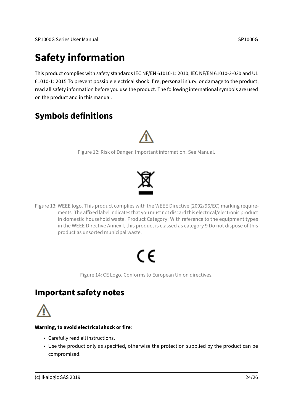### <span id="page-23-0"></span>**Safety information**

This product complies with safety standards IEC NF/EN 61010-1: 2010, IEC NF/EN 61010-2-030 and UL 61010-1: 2015 To prevent possible electrical shock, fire, personal injury, or damage to the product, read all safety information before you use the product. The following international symbols are used on the product and in this manual.

### <span id="page-23-1"></span>**Symbols definitions**



Figure 12: Risk of Danger. Important information. See Manual.



Figure 13: WEEE logo. This product complies with the WEEE Directive (2002/96/EC) marking requirements. The affixed label indicates that you must not discard this electrical/electronic product in domestic household waste. Product Category: With reference to the equipment types in the WEEE Directive Annex I, this product is classed as category 9 Do not dispose of this product as unsorted municipal waste.

# ( F

Figure 14: CE Logo. Conforms to European Union directives.

#### <span id="page-23-2"></span>**Important safety notes**

#### **Warning, to avoid electrical shock or fire**:

- Carefully read all instructions.
- Use the product only as specified, otherwise the protection supplied by the product can be compromised.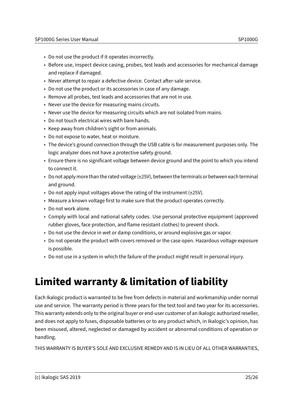- Do not use the product if it operates incorrectly.
- Before use, inspect device casing, probes, test leads and accessories for mechanical damage and replace if damaged.
- Never attempt to repair a defective device. Contact after-sale service.
- Do not use the product or its accessories in case of any damage.
- Remove all probes, test leads and accessories that are not in use.
- Never use the device for measuring mains circuits.
- Never use the device for measuring circuits which are not isolated from mains.
- Do not touch electrical wires with bare hands.
- Keep away from children's sight or from animals.
- Do not expose to water, heat or moisture.
- The device's ground connection through the USB cable is for measurement purposes only. The logic analyzer does not have a protective safety ground.
- Ensure there is no significant voltage between device ground and the point to which you intend to connect it.
- Do not apply more than the rated voltage (±25V), between the terminals or between each terminal and ground.
- Do not apply input voltages above the rating of the instrument (±25V).
- Measure a known voltage first to make sure that the product operates correctly.
- Do not work alone.
- Comply with local and national safety codes. Use personal protective equipment (approved rubber gloves, face protection, and flame resistant clothes) to prevent shock.
- Do not use the device in wet or damp conditions, or around explosive gas or vapor.
- Do not operate the product with covers removed or the case open. Hazardous voltage exposure is possible.
- Do not use in a system in which the failure of the product might result in personal injury.

### <span id="page-24-0"></span>**Limited warranty & limitation of liability**

Each Ikalogic product is warranted to be free from defects in material and workmanship under normal use and service. The warranty period is three years for the test tool and two year for its accessories. This warranty extends only to the original buyer or end-user customer of an Ikalogic authorized reseller, and does not apply to fuses, disposable batteries or to any product which, in Ikalogic's opinion, has been misused, altered, neglected or damaged by accident or abnormal conditions of operation or handling.

THIS WARRANTY IS BUYER'S SOLE AND EXCLUSIVE REMEDY AND IS IN LIEU OF ALL OTHER WARRANTIES,